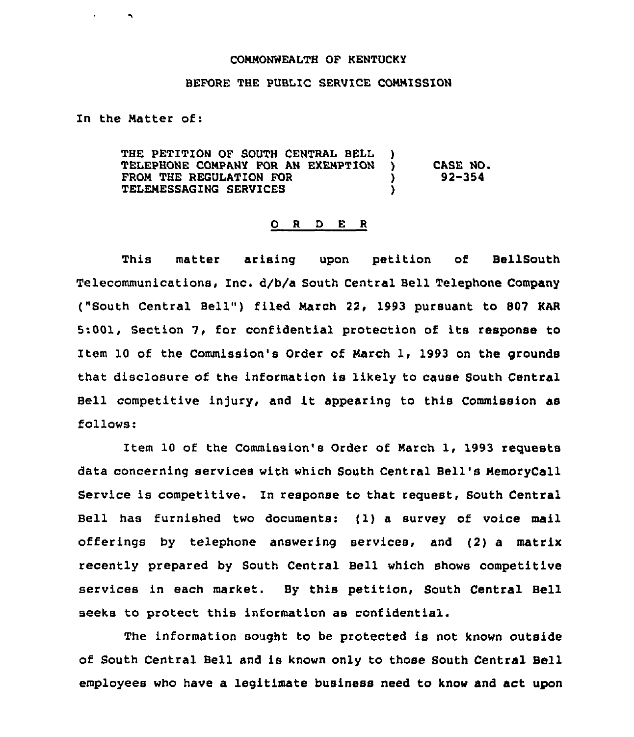## COMMONWEALTH OF KENTUCKY

## BEFORE THE PUBLIC SERVICE CONNISSION

In the Natter of:

 $\blacksquare$ 

| THE PETITION OF SOUTH CENTRAL BELL<br>TELEPHONE COMPANY FOR AN EXEMPTION<br>FROM THE REGULATION FOR<br><b>TELEMESSAGING SERVICES</b> |  | CASE NO.<br>92-354 |
|--------------------------------------------------------------------------------------------------------------------------------------|--|--------------------|
|--------------------------------------------------------------------------------------------------------------------------------------|--|--------------------|

## 0 <sup>R</sup> <sup>D</sup> <sup>E</sup> <sup>R</sup>

This matter arising upon petition of BellSouth Telecommunications, Inc. d/b/a South Central Bell Telephone Company ("South Central Bell") filed March 22, 1993 pursuant to 807 KAR 5:001, Section 7, for confidential protection of its response to Item 10 of the Commission's Order of March 1, 1993 on the grounds that disclosure of the information is likely to cause South Central Bell competitive injury, and it appearing to this Commission as follows:

Item 10 of the Commission's Order of March 1, 1993 requests data concerning services with which South Central Bell's MemoryCall Service is competitive. In response to that request, South Central Bell has furnished two documents: {1}<sup>a</sup> survey of voice mail offerings by telephone answering services, and (2) a matrix recently prepared by South Central Bell which shows competitive services in each market. By this petition, South Central Bell seeks to protect this information as confidential.

The information sought to be protected is not known outside of South Central Bell and is known only to those South Central Bell employees who have a legitimate business need to know and act upon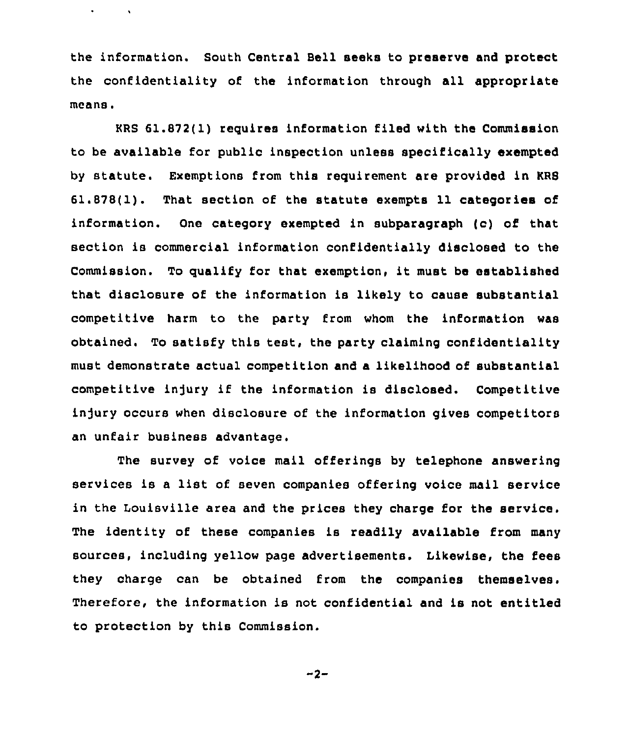the information. South Central Bell seeks to preserve and protect the confidentiality of the information through all appropriate means.

 $\bullet$  .

 $\sim 100$  M  $_{\odot}$ 

KRS 61.872(1) requires information filed with the Commission to be available for public inspection unless specifically exempted by statute. Exemptions from this requirement are provided in KRS 61.878(1). That section of the statute exempts 11 categories of information. One category exempted in subparagraph (c) of that section is commercial information confidentially disclosed to the Commission. To qualify for that exemption, it must be established that disclosure of the information is likely to cause substantial competitive harm to the party from whom the information was obtained. To satisfy this test, the party claiming confidentiality must demonstrate actual competition and a likelihood of substantial competitive in)ury if the information is disclosed. Competitive injury occurs when disclosure of the information gives competitors an unfair business advantage.

The survey of voice mail offerings by telephone answering services is <sup>a</sup> list of seven companies offering voice mail service in the Louisville area and the prices they charge for the service. The identity of these companies is readily available from many sources, including yellow page advertisements. Likewise, the fees they charge can be obtained from the companies themselves. Therefore, the information is not confidential and is not entitled to protection by this Commission.

 $-2-$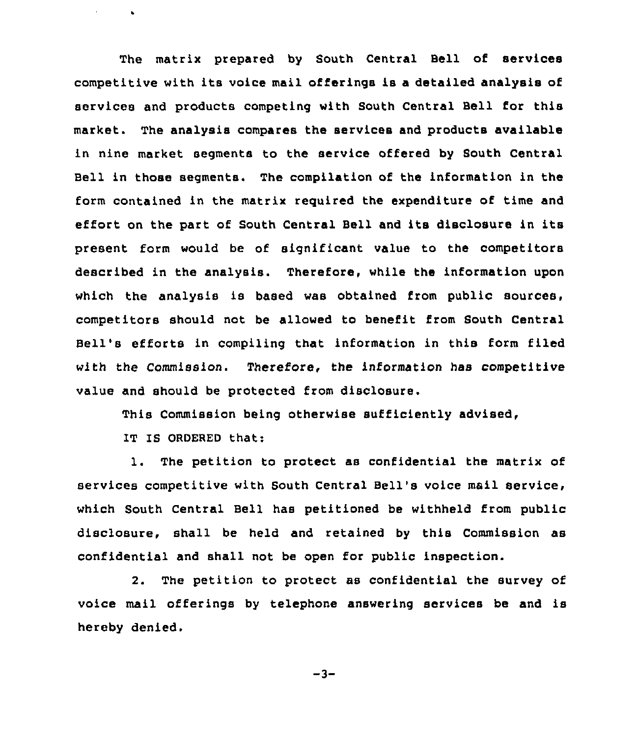The matrix prepared by South Central Bell of services competitive with its voice mail offerings is a detailed analysis of services and products competing with South Central Bell for this market. The analysis compares the services and products available in nine market segments to the service offered by South Central Bell in those segments. The compilation of the information in the form contained in the matrix required the expenditure of time and effort on the part of South Central Bell and its disclosure in its present form would be of significant value to the competitors described in the analysis. Therefore, while the information upon which the analysis is based was obtained from public sources, competitors should not be allowed to benefit from South Central Bell's efforts in compiling that information in this form filed with the Commission. Therefore, the information has competitive value and should be protected from disclosure.

This Commission being otherwise sufficiently advised,

IT IS ORDERED that:

 $\mathcal{L}$ 

 $\bullet$ 

1. The petition to protect as confidential the matrix of services competitive with South Central Bell's voice mail service, which South Central Bell has petitioned be withheld from public disclosure, shall be held and retained by this Commission as confidential and shall not be open for public inspection.

2. The petition to protect as confidential the survey of voice mail offerings by telephone answering services be and is hereby denied.

 $-3-$